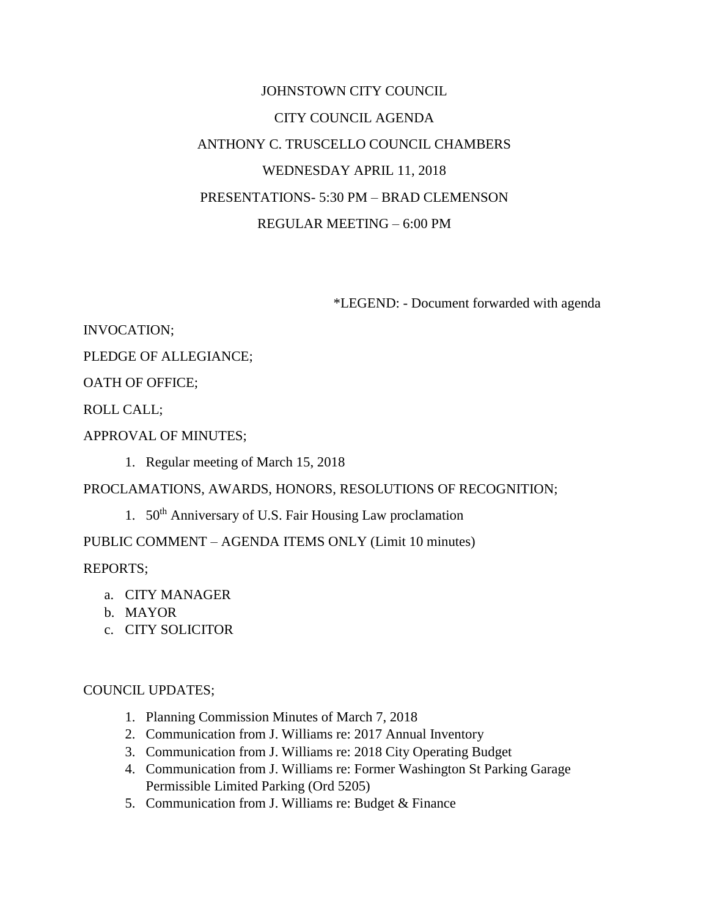# JOHNSTOWN CITY COUNCIL CITY COUNCIL AGENDA ANTHONY C. TRUSCELLO COUNCIL CHAMBERS WEDNESDAY APRIL 11, 2018 PRESENTATIONS- 5:30 PM – BRAD CLEMENSON REGULAR MEETING – 6:00 PM

\*LEGEND: - Document forwarded with agenda

INVOCATION;

PLEDGE OF ALLEGIANCE;

OATH OF OFFICE;

ROLL CALL;

APPROVAL OF MINUTES;

1. Regular meeting of March 15, 2018

PROCLAMATIONS, AWARDS, HONORS, RESOLUTIONS OF RECOGNITION;

1. 50<sup>th</sup> Anniversary of U.S. Fair Housing Law proclamation

PUBLIC COMMENT – AGENDA ITEMS ONLY (Limit 10 minutes)

REPORTS;

- a. CITY MANAGER
- b. MAYOR
- c. CITY SOLICITOR

### COUNCIL UPDATES;

- 1. Planning Commission Minutes of March 7, 2018
- 2. Communication from J. Williams re: 2017 Annual Inventory
- 3. Communication from J. Williams re: 2018 City Operating Budget
- 4. Communication from J. Williams re: Former Washington St Parking Garage Permissible Limited Parking (Ord 5205)
- 5. Communication from J. Williams re: Budget & Finance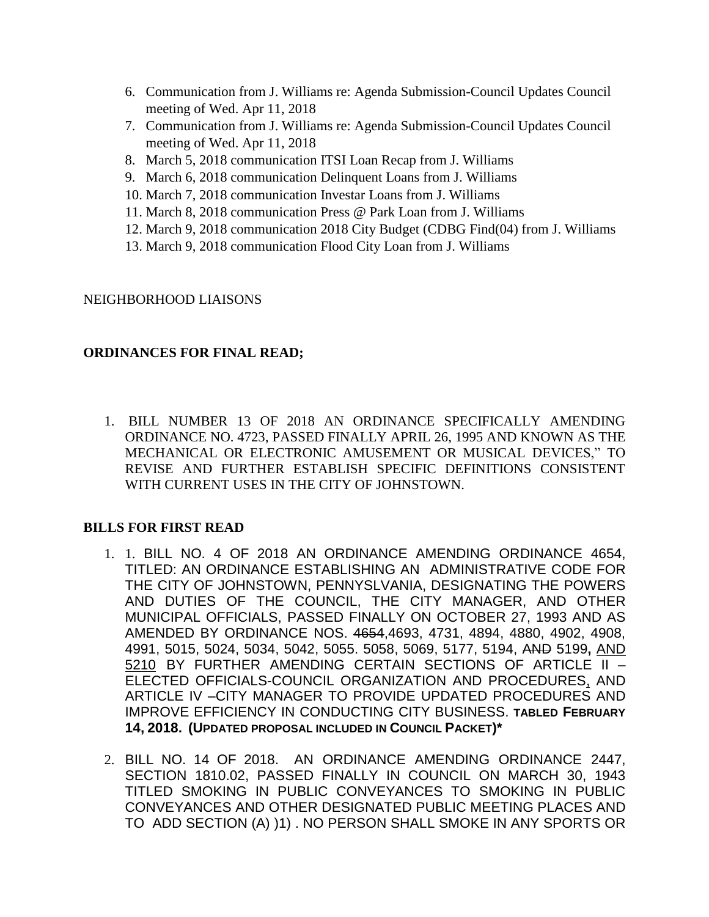- 6. Communication from J. Williams re: Agenda Submission-Council Updates Council meeting of Wed. Apr 11, 2018
- 7. Communication from J. Williams re: Agenda Submission-Council Updates Council meeting of Wed. Apr 11, 2018
- 8. March 5, 2018 communication ITSI Loan Recap from J. Williams
- 9. March 6, 2018 communication Delinquent Loans from J. Williams
- 10. March 7, 2018 communication Investar Loans from J. Williams
- 11. March 8, 2018 communication Press @ Park Loan from J. Williams
- 12. March 9, 2018 communication 2018 City Budget (CDBG Find(04) from J. Williams
- 13. March 9, 2018 communication Flood City Loan from J. Williams

## NEIGHBORHOOD LIAISONS

# **ORDINANCES FOR FINAL READ;**

1. BILL NUMBER 13 OF 2018 AN ORDINANCE SPECIFICALLY AMENDING ORDINANCE NO. 4723, PASSED FINALLY APRIL 26, 1995 AND KNOWN AS THE MECHANICAL OR ELECTRONIC AMUSEMENT OR MUSICAL DEVICES," TO REVISE AND FURTHER ESTABLISH SPECIFIC DEFINITIONS CONSISTENT WITH CURRENT USES IN THE CITY OF JOHNSTOWN.

## **BILLS FOR FIRST READ**

- 1. 1. BILL NO. 4 OF 2018 AN ORDINANCE AMENDING ORDINANCE 4654, TITLED: AN ORDINANCE ESTABLISHING AN ADMINISTRATIVE CODE FOR THE CITY OF JOHNSTOWN, PENNYSLVANIA, DESIGNATING THE POWERS AND DUTIES OF THE COUNCIL, THE CITY MANAGER, AND OTHER MUNICIPAL OFFICIALS, PASSED FINALLY ON OCTOBER 27, 1993 AND AS AMENDED BY ORDINANCE NOS. 4654,4693, 4731, 4894, 4880, 4902, 4908, 4991, 5015, 5024, 5034, 5042, 5055. 5058, 5069, 5177, 5194, AND 5199**,** AND 5210 BY FURTHER AMENDING CERTAIN SECTIONS OF ARTICLE II – ELECTED OFFICIALS-COUNCIL ORGANIZATION AND PROCEDURES, AND ARTICLE IV –CITY MANAGER TO PROVIDE UPDATED PROCEDURES AND IMPROVE EFFICIENCY IN CONDUCTING CITY BUSINESS. **TABLED FEBRUARY 14, 2018. (UPDATED PROPOSAL INCLUDED IN COUNCIL PACKET)\***
- 2. BILL NO. 14 OF 2018.AN ORDINANCE AMENDING ORDINANCE 2447, SECTION 1810.02, PASSED FINALLY IN COUNCIL ON MARCH 30, 1943 TITLED SMOKING IN PUBLIC CONVEYANCES TO SMOKING IN PUBLIC CONVEYANCES AND OTHER DESIGNATED PUBLIC MEETING PLACES AND TO ADD SECTION (A) )1) . NO PERSON SHALL SMOKE IN ANY SPORTS OR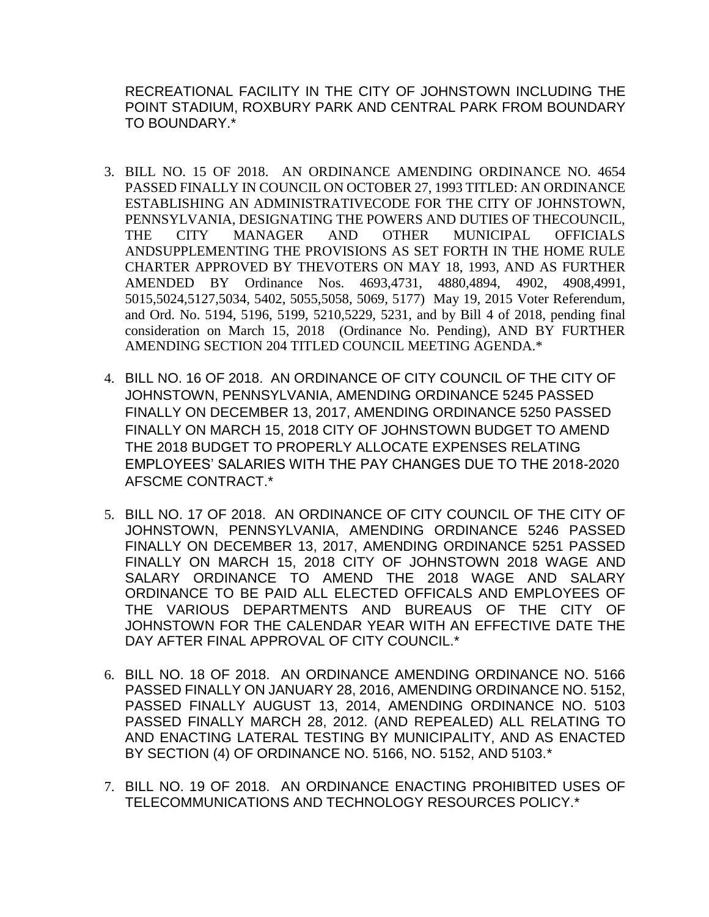RECREATIONAL FACILITY IN THE CITY OF JOHNSTOWN INCLUDING THE POINT STADIUM, ROXBURY PARK AND CENTRAL PARK FROM BOUNDARY TO BOUNDARY.\*

- 3. BILL NO. 15 OF 2018. AN ORDINANCE AMENDING ORDINANCE NO. 4654 PASSED FINALLY IN COUNCIL ON OCTOBER 27, 1993 TITLED: AN ORDINANCE ESTABLISHING AN ADMINISTRATIVECODE FOR THE CITY OF JOHNSTOWN, PENNSYLVANIA, DESIGNATING THE POWERS AND DUTIES OF THECOUNCIL, THE CITY MANAGER AND OTHER MUNICIPAL OFFICIALS ANDSUPPLEMENTING THE PROVISIONS AS SET FORTH IN THE HOME RULE CHARTER APPROVED BY THEVOTERS ON MAY 18, 1993, AND AS FURTHER AMENDED BY Ordinance Nos. 4693,4731, 4880,4894, 4902, 4908,4991, 5015,5024,5127,5034, 5402, 5055,5058, 5069, 5177) May 19, 2015 Voter Referendum, and Ord. No. 5194, 5196, 5199, 5210,5229, 5231, and by Bill 4 of 2018, pending final consideration on March 15, 2018 (Ordinance No. Pending), AND BY FURTHER AMENDING SECTION 204 TITLED COUNCIL MEETING AGENDA.\*
- 4. BILL NO. 16 OF 2018. AN ORDINANCE OF CITY COUNCIL OF THE CITY OF JOHNSTOWN, PENNSYLVANIA, AMENDING ORDINANCE 5245 PASSED FINALLY ON DECEMBER 13, 2017, AMENDING ORDINANCE 5250 PASSED FINALLY ON MARCH 15, 2018 CITY OF JOHNSTOWN BUDGET TO AMEND THE 2018 BUDGET TO PROPERLY ALLOCATE EXPENSES RELATING EMPLOYEES' SALARIES WITH THE PAY CHANGES DUE TO THE 2018-2020 AFSCME CONTRACT.\*
- 5. BILL NO. 17 OF 2018. AN ORDINANCE OF CITY COUNCIL OF THE CITY OF JOHNSTOWN, PENNSYLVANIA, AMENDING ORDINANCE 5246 PASSED FINALLY ON DECEMBER 13, 2017, AMENDING ORDINANCE 5251 PASSED FINALLY ON MARCH 15, 2018 CITY OF JOHNSTOWN 2018 WAGE AND SALARY ORDINANCE TO AMEND THE 2018 WAGE AND SALARY ORDINANCE TO BE PAID ALL ELECTED OFFICALS AND EMPLOYEES OF THE VARIOUS DEPARTMENTS AND BUREAUS OF THE CITY OF JOHNSTOWN FOR THE CALENDAR YEAR WITH AN EFFECTIVE DATE THE DAY AFTER FINAL APPROVAL OF CITY COUNCIL.\*
- 6. BILL NO. 18 OF 2018. AN ORDINANCE AMENDING ORDINANCE NO. 5166 PASSED FINALLY ON JANUARY 28, 2016, AMENDING ORDINANCE NO. 5152, PASSED FINALLY AUGUST 13, 2014, AMENDING ORDINANCE NO. 5103 PASSED FINALLY MARCH 28, 2012. (AND REPEALED) ALL RELATING TO AND ENACTING LATERAL TESTING BY MUNICIPALITY, AND AS ENACTED BY SECTION (4) OF ORDINANCE NO. 5166, NO. 5152, AND 5103.\*
- 7. BILL NO. 19 OF 2018. AN ORDINANCE ENACTING PROHIBITED USES OF TELECOMMUNICATIONS AND TECHNOLOGY RESOURCES POLICY.\*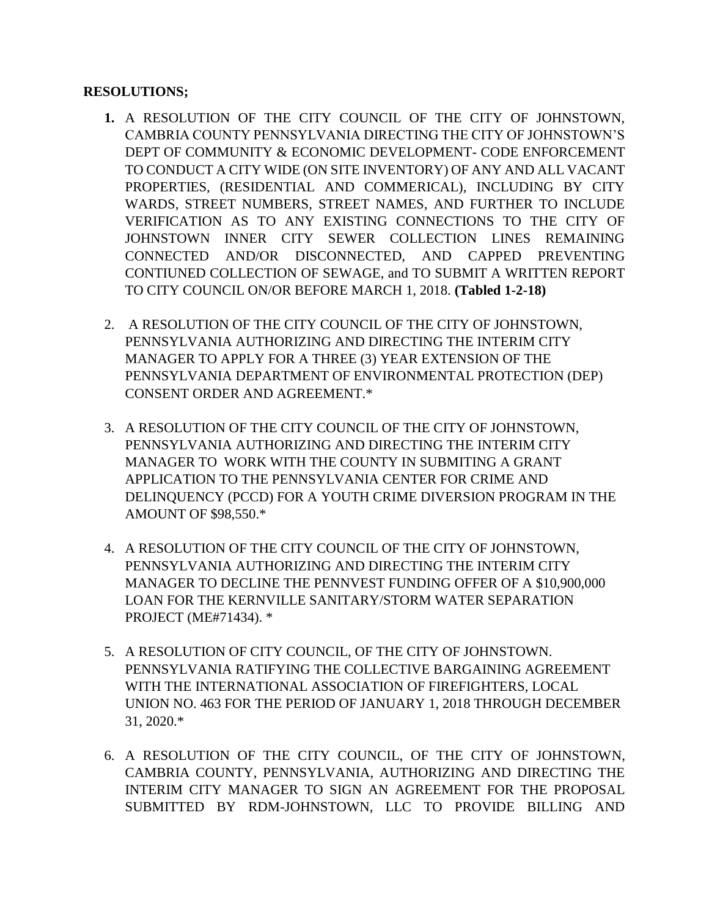## **RESOLUTIONS;**

- **1.** A RESOLUTION OF THE CITY COUNCIL OF THE CITY OF JOHNSTOWN, CAMBRIA COUNTY PENNSYLVANIA DIRECTING THE CITY OF JOHNSTOWN'S DEPT OF COMMUNITY & ECONOMIC DEVELOPMENT- CODE ENFORCEMENT TO CONDUCT A CITY WIDE (ON SITE INVENTORY) OF ANY AND ALL VACANT PROPERTIES, (RESIDENTIAL AND COMMERICAL), INCLUDING BY CITY WARDS, STREET NUMBERS, STREET NAMES, AND FURTHER TO INCLUDE VERIFICATION AS TO ANY EXISTING CONNECTIONS TO THE CITY OF JOHNSTOWN INNER CITY SEWER COLLECTION LINES REMAINING CONNECTED AND/OR DISCONNECTED, AND CAPPED PREVENTING CONTIUNED COLLECTION OF SEWAGE, and TO SUBMIT A WRITTEN REPORT TO CITY COUNCIL ON/OR BEFORE MARCH 1, 2018. **(Tabled 1-2-18)**
- 2. A RESOLUTION OF THE CITY COUNCIL OF THE CITY OF JOHNSTOWN, PENNSYLVANIA AUTHORIZING AND DIRECTING THE INTERIM CITY MANAGER TO APPLY FOR A THREE (3) YEAR EXTENSION OF THE PENNSYLVANIA DEPARTMENT OF ENVIRONMENTAL PROTECTION (DEP) CONSENT ORDER AND AGREEMENT.\*
- 3. A RESOLUTION OF THE CITY COUNCIL OF THE CITY OF JOHNSTOWN, PENNSYLVANIA AUTHORIZING AND DIRECTING THE INTERIM CITY MANAGER TO WORK WITH THE COUNTY IN SUBMITING A GRANT APPLICATION TO THE PENNSYLVANIA CENTER FOR CRIME AND DELINQUENCY (PCCD) FOR A YOUTH CRIME DIVERSION PROGRAM IN THE AMOUNT OF \$98,550.\*
- 4. A RESOLUTION OF THE CITY COUNCIL OF THE CITY OF JOHNSTOWN, PENNSYLVANIA AUTHORIZING AND DIRECTING THE INTERIM CITY MANAGER TO DECLINE THE PENNVEST FUNDING OFFER OF A \$10,900,000 LOAN FOR THE KERNVILLE SANITARY/STORM WATER SEPARATION PROJECT (ME#71434). \*
- 5. A RESOLUTION OF CITY COUNCIL, OF THE CITY OF JOHNSTOWN. PENNSYLVANIA RATIFYING THE COLLECTIVE BARGAINING AGREEMENT WITH THE INTERNATIONAL ASSOCIATION OF FIREFIGHTERS, LOCAL UNION NO. 463 FOR THE PERIOD OF JANUARY 1, 2018 THROUGH DECEMBER 31, 2020.\*
- 6. A RESOLUTION OF THE CITY COUNCIL, OF THE CITY OF JOHNSTOWN, CAMBRIA COUNTY, PENNSYLVANIA, AUTHORIZING AND DIRECTING THE INTERIM CITY MANAGER TO SIGN AN AGREEMENT FOR THE PROPOSAL SUBMITTED BY RDM-JOHNSTOWN, LLC TO PROVIDE BILLING AND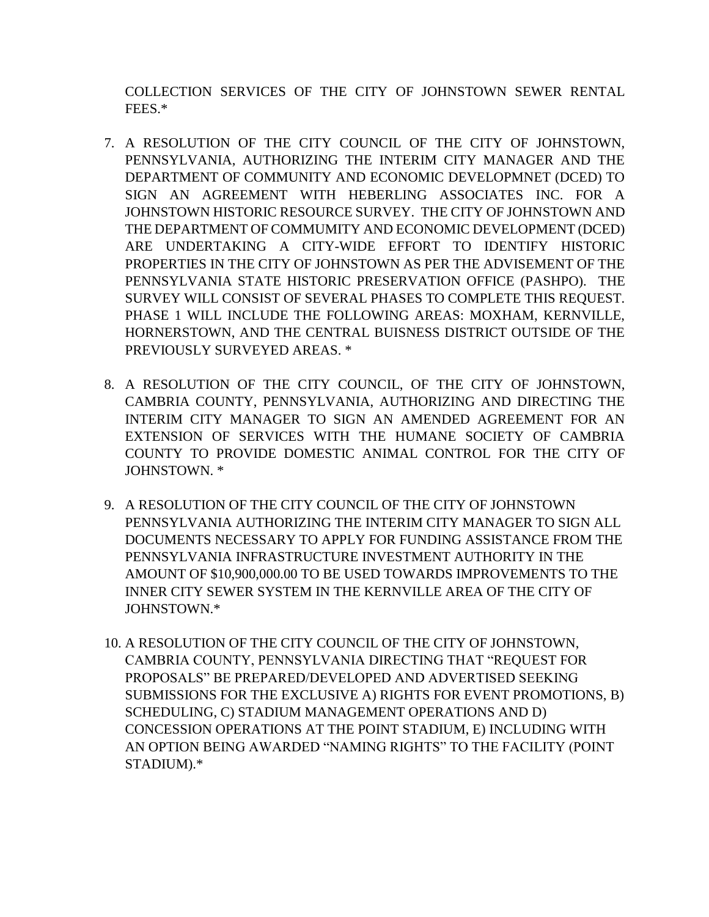COLLECTION SERVICES OF THE CITY OF JOHNSTOWN SEWER RENTAL FEES.\*

- 7. A RESOLUTION OF THE CITY COUNCIL OF THE CITY OF JOHNSTOWN, PENNSYLVANIA, AUTHORIZING THE INTERIM CITY MANAGER AND THE DEPARTMENT OF COMMUNITY AND ECONOMIC DEVELOPMNET (DCED) TO SIGN AN AGREEMENT WITH HEBERLING ASSOCIATES INC. FOR A JOHNSTOWN HISTORIC RESOURCE SURVEY. THE CITY OF JOHNSTOWN AND THE DEPARTMENT OF COMMUMITY AND ECONOMIC DEVELOPMENT (DCED) ARE UNDERTAKING A CITY-WIDE EFFORT TO IDENTIFY HISTORIC PROPERTIES IN THE CITY OF JOHNSTOWN AS PER THE ADVISEMENT OF THE PENNSYLVANIA STATE HISTORIC PRESERVATION OFFICE (PASHPO). THE SURVEY WILL CONSIST OF SEVERAL PHASES TO COMPLETE THIS REQUEST. PHASE 1 WILL INCLUDE THE FOLLOWING AREAS: MOXHAM, KERNVILLE, HORNERSTOWN, AND THE CENTRAL BUISNESS DISTRICT OUTSIDE OF THE PREVIOUSLY SURVEYED AREAS. \*
- 8. A RESOLUTION OF THE CITY COUNCIL, OF THE CITY OF JOHNSTOWN, CAMBRIA COUNTY, PENNSYLVANIA, AUTHORIZING AND DIRECTING THE INTERIM CITY MANAGER TO SIGN AN AMENDED AGREEMENT FOR AN EXTENSION OF SERVICES WITH THE HUMANE SOCIETY OF CAMBRIA COUNTY TO PROVIDE DOMESTIC ANIMAL CONTROL FOR THE CITY OF JOHNSTOWN. \*
- 9. A RESOLUTION OF THE CITY COUNCIL OF THE CITY OF JOHNSTOWN PENNSYLVANIA AUTHORIZING THE INTERIM CITY MANAGER TO SIGN ALL DOCUMENTS NECESSARY TO APPLY FOR FUNDING ASSISTANCE FROM THE PENNSYLVANIA INFRASTRUCTURE INVESTMENT AUTHORITY IN THE AMOUNT OF \$10,900,000.00 TO BE USED TOWARDS IMPROVEMENTS TO THE INNER CITY SEWER SYSTEM IN THE KERNVILLE AREA OF THE CITY OF JOHNSTOWN.\*
- 10. A RESOLUTION OF THE CITY COUNCIL OF THE CITY OF JOHNSTOWN, CAMBRIA COUNTY, PENNSYLVANIA DIRECTING THAT "REQUEST FOR PROPOSALS" BE PREPARED/DEVELOPED AND ADVERTISED SEEKING SUBMISSIONS FOR THE EXCLUSIVE A) RIGHTS FOR EVENT PROMOTIONS, B) SCHEDULING, C) STADIUM MANAGEMENT OPERATIONS AND D) CONCESSION OPERATIONS AT THE POINT STADIUM, E) INCLUDING WITH AN OPTION BEING AWARDED "NAMING RIGHTS" TO THE FACILITY (POINT STADIUM).\*